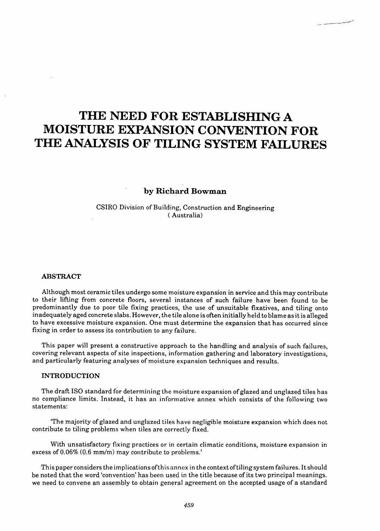# THE NEED FOR ESTABLISHING A MOISTURE EXPANSION CONVENTION FOR THE ANALYSIS OF TILING SYSTEM FAILURES

# by Richard Bowman

# CSIRO Division of Building, Construction and Engineering ( Australia)

#### ABSTRACT

Although most ceramic tiles undergo some moisture expansion in service and this may contribute to their lifting from concrete floors, several instances of such failure have been found to be predominantly due to poor tile fixing practices, the use of unsuitable fixatives, and tiling onto inadequately aged concrete slabs. However, the tile alone is often initially held to blame as it is alleged to have excessive moisture expansion. One must determine the expansion that has occurred since fixing in order to assess its contribution to any failure.

This paper will present a constructive approach to the handling and analysis of such failures, covering relevant aspects of site inspections, information gathering and laboratory investigations, and particularly featuring analyses of moisture expansion techniques and results.

#### INTRODUCTION

The draft ISO standard for determining the moisture expansion of glazed and unglazed tiles has no compliance limits. Instead, it has an informative annex which consists of the following two statements:

'The majority of glazed and unglazed tiles have negligible moisture expansion which does not contribute to tiling problems when tiles are correctly fixed.

With unsatisfactory fixing practices or in certain climatic conditions, moisture expansion in excess of 0.06% (0.6 mm/m) may contribute to problems.'

This paper considers the implications ofthis annex in the context oftiling system failures. Itshould be noted that the word 'convention' has been used in the title because of its two principal meanings. we need to convene an assembly to obtain general agreement on the accepted usage of a standard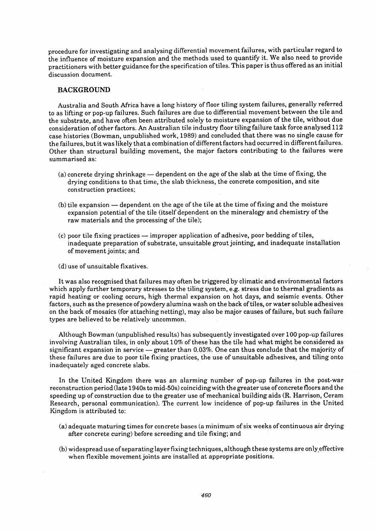procedure for investigating and analysing differential movement failures, with particular regard to the influence of moisture expansion and the methods used to quantify it. We also need to provide practitioners with better guidance for the specification of tiles. This paper is thus offered as an initial discussion document.

## BACKGROUND

Australia and South Africa have a long history of floor tiling system failures, generally referred to as lifting or pop-up failures. Such failures are due to differential movement between the tile and the substrate, and have often been attributed solely to moisture expansion of the tile, without due consideration of other factors. An Australian tile industry floor tiling failure task force analysed 112 case histories (Bowman, unpublished work, 1989) and concluded that there was no single cause for the failures, but it was likely that a combination of differentfactors had occurred in differentfailures. Other than structural building movement, the major factors contributing to the failures were summarised as:

- $(a)$  concrete drying shrinkage  $-$  dependent on the age of the slab at the time of fixing, the drying conditions to that time, the slab thickness, the concrete composition, and site construction practices;
- $(b)$  tile expansion  $-$  dependent on the age of the tile at the time of fixing and the moisture expansion potential of the tile (itself dependent on the mineralogy and chemistry of the raw materials and the processing of the tile);
- $(c)$  poor tile fixing practices  $-$  improper application of adhesive, poor bedding of tiles, inadequate preparation of substrate, unsuitable grout jointing, and inadequate installation of movement joints; and
- (d) use of unsuitable fixatives.

It was also recognised that failures may often be triggered by climatic and environmental factors which apply further temporary stresses to the tiling system, e.g. stress due to thermal gradients as rapid heating or cooling occurs, high thermal expansion on hot days, and seismic events. Other factors, such as the presence of powdery alumina wash on the back oftiles, or water soluble adhesives on the back of mosaics (for attaching netting), may also be major causes of failure, but such failure types are believed to be relatively uncommon.

Although Bowman (unpublished results) has subsequently investigated over 100 pop-up failures involving Australian tiles, in only about 10% of these has the tile had what might be considered as significant expansion in service  $-$  greater than 0.03%. One can thus conclude that the majority of these failures are due to poor tile fixing practices, the use of unsuitable adhesives, and tiling onto inadequately aged concrete slabs.

In the United Kingdom there was an alarming number of pop-up failures in the post-war reconstruction period (late 1940s to mid-50s) coinciding with the greater use of concrete floors and the speeding up of construction due to the greater use of mechanical building aids (R. Harrison, Ceram Research, personal communication). The current low incidence of pop-up failures in the United Kingdom is attributed to:

- (a) adequate maturing times for concrete bases (a minimum of six weeks of continuous air drying after concrete curing) before screeding and tile fixing; and
- (b) widespread use ofseparating layerfixing techniques, although these systems are onlyeffective when flexible movement joints are installed at appropriate positions.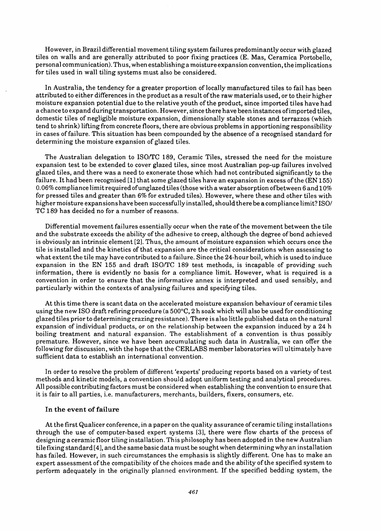However, in Brazil differential movement tiling system failures predominantly occur with glazed tiles on walls and are generally attributed to poor fixing practices (E. Mas, Ceramica Portobello, personal communication). Thus, when establishing a moisture expansion convention, the implications for tiles used in wall tiling systems must also be considered.

In Australia, the tendency for a greater proportion of locally manufactured tiles to fail has been attributed to either differences in the product as a result ofthe raw materials used, or to their higher moisture expansion potential due to the relative youth of the product, since imported tiles have had a chance to expand during transportation. However, since there have been instances ofimported tiles, domestic tiles of negligible moisture expansion, dimensionally stable stones and terrazzos (which tend to shrink) lifting from concrete floors, there are obvious problems in apportioning responsibility in cases offailure. This situation has been compounded by the absence of a recognised standard for determining the moisture expansion of glazed tiles.

The Australian delegation to ISO/TC 189, Ceramic Tiles, stressed the need for the moisture expansion test to be extended to cover glazed tiles, since most Australian pop-up failures involved glazed tiles, and there was a need to exonerate those which had not contributed significantly to the failure. It had been recognised  $[1]$  that some glazed tiles have an expansion in excess of the (EN 155) 0.06% compliance limit required of unglazed tiles (those with a water absorption of between 6 and  $10\%$ for pressed tiles and greater than 6% for extruded tiles). However, where these and other tiles with higher moisture expansions have been successfully in stalled, should there be a compliance limit? ISO/ TC 189 has decided no for a number of reasons.

Differential movement failures essentially occur when the rate of the movement between the tile and the substrate exceeds the ability of the adhesive to creep, although the degree of bond achieved is obviously an intrinsic element [2]. Thus, the amount of moisture expansion which occurs once the tile is installed and the kinetics of that expansion are the critical considerations when assessing to what extent the tile may have contributed to a failure. Since the 24-hour boil, which is used to induce expansion in the EN 155 and draft ISO/TC 189 test methods, is incapable of providing such information, there is evidently no basis for a compliance limit. However, what is required is a convention in order to ensure that the informative annex is interpreted and used sensibly, and particularly within the contexts of analysing failures and specifying tiles.

At this time there is scant data on the accelerated moisture expansion behaviour of ceramic tiles using the new ISO draft refiring procedure (a 500°C, 2 h soak which will also be used for conditioning glazed tiles prior to determining crazing resistance). There is also little published data on the natural expansion of individual products, or on the relationship between the expansion induced by a 24 h boiling treatment and natural expansion. The establishment of a convention is thus possibly premature. However, since we have been accumulating such data in Australia, we can offer the following for discussion, with the hope that the CERLABS member laboratories will ultimately have sufficient data to establish an international convention.

In order to resolve the problem of different 'experts' producing reports based on a variety of test methods and kinetic models, a convention should adopt uniform testing and analytical procedures. All possible contributing factors must be considered when establishing the convention to ensure that it is fair to all parties, i.e. manufacturers, merchants, builders, fixers, consumers, etc.

#### In the event of failure

At the first Qualicer conference, in a paper on the quality assurance of ceramic tiling installations through the use of computer-based expert systems [3], there were flow charts of the process of designing a ceramic floor tiling installation. This philosophy has been adopted in the new Australian tile fixing standard [4], and the same basic data must be sought when determining why an installation has failed. However, in such circumstances the emphasis is slightly different. One has to make an expert assessment of the compatibility of the choices made and the ability of the specified system to perform adequately in the originally planned environment. If the specified bedding system, the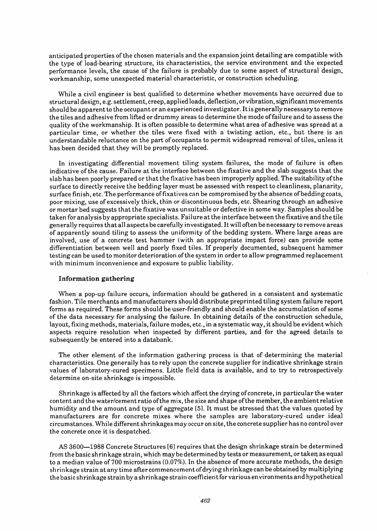anticipated properties ofthe chosen materials and the expansion joint detailing are compatible with the type of load-bearing structure, its characteristics, the service environment and the expected performance levels, the cause of the failure is probably due to some aspect of structural design, workmanship, some unexpected material characteristic, or construction scheduling.

While a civil engineer is best qualified to determine whether movements have occurred due to structural design, e.g.settlement, creep, applied loads, deflection, or vibration, significantmovements should be apparent to the occupant or an experienced investigator. Itis generally necessary to remove the tiles and adhesive from lifted or drummy areas to determine the mode offailure and to assess the quality of the workmanship. It is often possible to determine what area of adhesive was spread at a particular time, or whether the tiles were fixed with a twisting action, etc., but there is an understandable reluctance on the part of occupants to permit widespread removal of tiles, unless it has been decided that they will be promptly replaced.

In investigating differential movement tiling system failures, the mode of failure is often indicative of the cause. Failure at the interface between the fixative and the slab suggests that the slab has been poorly prepared or that the fixative has been improperly applied. The suitability ofthe surface to directly receive the bedding layer must be assessed with respect to cleanliness, planarity, surface finish, etc. The performance offixatives can be compromised by the absence of bedding coats, poor mixing, use of excessively thick, thin or discontinuous beds, etc. Shearing through an adhesive or mortar bed suggests that the fixative was unsuitable or defective in some way. Samples should be taken for analysis by appropriate specialists. Failure at the interface between the fixative and the tile generally requires that all aspects be carefully investigated. It will often be necessary to remove areas of apparently sound tiling to assess the uniformity of the bedding system. Where large areas are involved, use of a concrete test hammer (with an appropriate impact force) can provide some differentiation between well and poorly fixed tiles. If properly documented, subsequent hammer testing can be used to monitor deterioration of the system in order to allow programmed replacement with minimum inconvenience and exposure to public liability.

#### Information gathering

When a pop-up failure occurs, information should be gathered in a consistent and systematic fashion. Tile merchants and manufacturers should distribute preprinted tiling system failure report forms as required. These forms should be user-friendly and should enable the accumulation of some of the data necessary for analysing the failure. In obtaining details of the construction schedule, layout, fixing methods, materials, failure modes, etc., in a systematic way, it should be evident which aspects require resolution when inspected by different parties, and for the agreed details to subsequently be entered into a databank.

The other element of the information gathering process is that of determining the material characteristics. One generally has to rely upon the concrete supplier for indicative shrinkage strain values of laboratory-cured specimens. Little field data is available, and to try to retrospectively determine on-site shrinkage is impossible.

Shrinkage is affected by all the factors which affect the drying of concrete, in particular the water content and the water/cementratio ofthe mix, the size and shape ofthe member, the ambientrelative humidity and the amount and type of aggregate [5]. It must be stressed that the values quoted by manufacturers are for concrete mixes where the samples are laboratory-cured under ideal circumstances. While differentshrinkages may occur on site, the concrete supplier has no control over the concrete once it is despatched.

AS 3600-1988 Concrete Structures [6] requires that the design shrinkage strain be determined from the basic shrinkage strain, which may be determined by tests or measurement, or taken as equal to a median value of700 microstrains (0.07%). In the absence of more accurate methods, the design shrinkage strain atanytime after commencement ofdrying shrinkage can be obtained by multiplying the basic shrinkage strain by a shrinkage strain coefficientfor various environments and hypothetical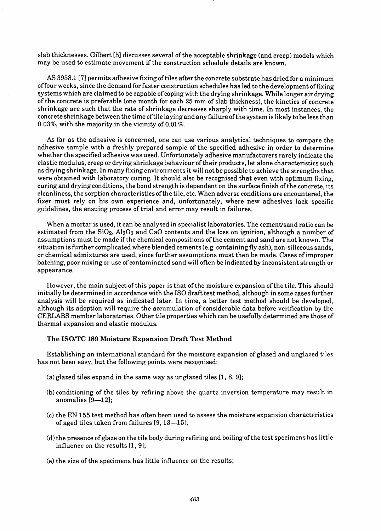slab thicknesses. Gilbert [5] discusses several of the acceptable shrinkage (and creep) models which may be used to estimate movement if the construction schedule details are known.

AS 3958.1 [7] permits adhesive fixing of tiles after the concrete substrate has dried for a minimum offour weeks, since the demand for faster construction schedules has led to the development offixing systems which are claimed to be capable of coping with the drying shrinkage. While longer air drying of the concrete is preferable (one month for each 25 mm of slab thickness), the kinetics of concrete shrinkage are such that the rate of shrinkage decreases sharply with time. In most instances, the concrete shrinkage between the time of tile laying and any failure ofthe system is likely to be lessthan 0.03%, with the majority in the vicinity of 0.01 %.

As far as the adhesive is concerned, one can use various analytical techniques to compare the adhesive sample with a freshly prepared sample of the specified adhesive in order to determine whether the specified adhesive was used. Unfortunately adhesive manufacturers rarely indicate the elastic modulus, creep or drying shrinkage behaviour oftheir products, let alone characteristics such as drying shrinkage. In many fixing environments it will not be possible to achieve the strengths that were obtained with laboratory curing. It should also be recognised that even with optimum fixing, curing and drying conditions, the bond strength is dependent on the surface finish ofthe concrete, its cleanliness, the sorption characteristics ofthe tile, etc. When adverse conditions are encountered, the fixer must rely on his own experience and, unfortunately, where new adhesives lack specific guidelines, the ensuing process of trial and error may result in failures.

When a mortar is used, it can be analysed in specialist laboratories. The cement/sand ratio can be estimated from the  $SiO<sub>2</sub>$ , Al<sub>2</sub>O<sub>3</sub> and CaO contents and the loss on ignition, although a number of assumptions must be made if the chemical compositions of the cement and sand are not known. The situation is further complicated where blended cements (e.g. containing fly ash), non-siliceous sands, or chemical admixtures are used, since further assumptions must then be made. Cases of improper batching, poor mixing or use of contaminated sand will often be indicated by inconsistent strength or appearance.

However, the main subject of this paper is that of the moisture expansion of the tile. This should initially be determined in accordance with the ISO draft test method, although in some cases further analysis will be required as indicated later. In time, a better test method should be developed, although its adoption will require the accumulation of considerable data before verification by the CERLABS member laboratories. Other tile properties which can be usefully determined are those of thermal expansion and elastic modulus.

#### The *ISO/TC* 189 Moisture Expansion Draft Test Method

Establishing an international standard for the moisture expansion of glazed and unglazed tiles has not been easy, but the following points were recognised:

- (a) glazed tiles expand in the same way as unglazed tiles  $[1, 8, 9]$ ;
- (b) conditioning of the tiles by refiring above the quartz inversion temperature may result in anomalies  $[9-12]$ ;
- (c) the EN 155 test method has often been used to assess the moisture expansion characteristics of aged tiles taken from failures  $[9, 13-15]$ ;
- (d) the presence of glaze on the tile body during refiring and boiling ofthe test specimens has little influence on the results  $[1, 9]$ ;
- (e) the size of the specimens has little influence on the results;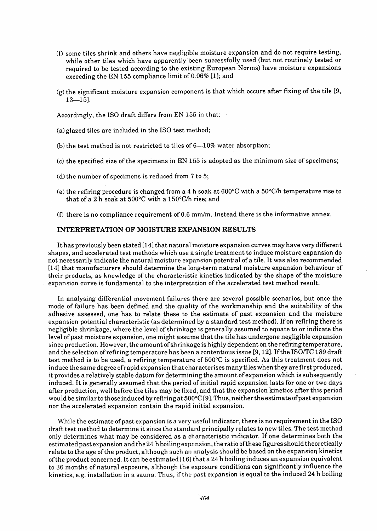- (D some tiles shrink and others have negligible moisture expansion and do not require testing, while other tiles which have apparently been successfully used (but not routinely tested or required to be tested according to the existing European Norms) have moisture expansions exceeding the EN 155 compliance limit of 0.06% [1]; and
- (g) the significant moisture expansion component is that which occurs after fixing of the tile [9,  $13 - 15$ ].

Accordingly, the ISO draft differs from EN 155 in that:

- (a) glazed tiles are included in the ISO test method;
- (b) the test method is not restricted to tiles of  $6-10\%$  water absorption;
- (c) the specified size of the specimens in EN 155 is adopted as the minimum size of specimens;
- (d) the number of specimens is reduced from 7 to 5;
- (e) the refiring procedure is changed from a 4 h soak at  $600^{\circ}$ C with a  $50^{\circ}$ C/h temperature rise to that of a 2 h soak at 500°C with a 150°C/h rise; and
- (f) there is no compliance requirement of  $0.6$  mm/m. Instead there is the informative annex.

#### INTERPRETATION OF MOISTURE EXPANSION RESULTS

It has previously been stated [14] that natural moisture expansion curves may have very different shapes, and accelerated test methods which use a single treatment to induce moisture expansion do not necessarily indicate the natural moisture expansion potential ofa tile. It was also recommended [14] that manufacturers should determine the long-term natural moisture expansion behaviour of their products, as knowledge of the characteristic kinetics indicated by the shape of the moisture expansion curve is fundamental to the interpretation of the accelerated test method result.

In analysing differential movement failures there are several possible scenarios, but once the mode of failure has been defined and the quality of the workmanship and the suitability of the adhesive assessed, one has to relate these to the estimate of past expansion and the moisture expansion potential characteristic (as determined by a standard test method). If on refiring there is negligible shrinkage, where the level of shrinkage is generally assumed to equate to or indicate the level of past moisture expansion, one might assume that the tile has undergone negligible expansion since production. However, the amount of shrinkage is highly dependent on the refiring temperature, and the selection of refiring temperature has been a contentious issue [9, 12]. If the ISO/TC 189 draft test method is to be used, a refiring temperature of 500°C is specified. As this treatment does not in duce the same degree ofrapid expansion that characterises many tiles when they are first produced, it provides a relatively stable datum for determining the amount of expansion which is subsequently induced. It is generally assumed that the period of initial rapid expansion lasts for one or two days after production, well before the tiles may be fixed, and that the expansion kinetics after this period would be similarto those induced by refiring at 500°C [9].Thus, neitherthe estimate ofpast expansion nor the accelerated expansion contain the rapid initial expansion.

While the estimate of past expansion is a very useful indicator, there is no requirement in the ISO draft test method to determine it since the standard principally relates to new tiles. The test method only determines what may be considered as a characteristic indicator. If one determines both the estimated past expansion and the 24 h boiling expansion, the ratio ofthese figures should theoretically relate to the age ofthe product, although such an analysis should be based on the expansion kinetics ofthe product concerned. It can be estimated [161 that a 24 h boiling induces an expansion equivalent to 36 months of natural exposure, although the exposure conditions can significantly influence the kinetics, e.g. installation in a sauna. Thus, if the past expansion is equal to the induced 24 h boiling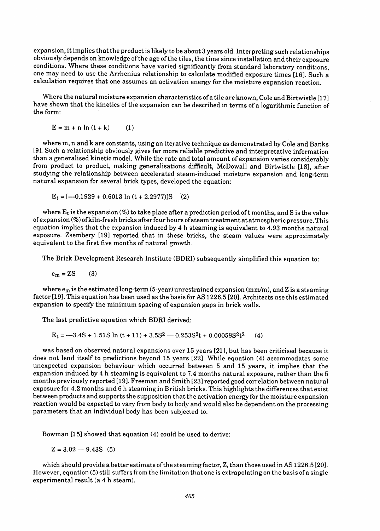expansion, itimplies that the product is likely to be about 3 years old. Interpreting such relationships obviously depends on knowledge of the age of the tiles, the time since installation and their exposure conditions. Where these conditions have varied significantly from standard laboratory conditions, one may need to use the Arrhenius relationship to calculate modified exposure times [16]. Such a calculation requires that one assumes an activation energy for the moisture expansion reaction.

Where the natural moisture expansion characteristics of a tile are known, Cole and Birtwistle [17] have shown that the kinetics of the expansion can be described in terms of a logarithmic function of the form: .

 $E = m + n ln (t + k)$  (1)

where m, nand k are constants, using an iterative technique as demonstrated by Cole and Banks [9]. Such a relationship obviously gives far more reliable predictive and interpretative information than a generalised kinetic model. While the rate and total amount of expansion varies considerably from product to product, making generalisations difficult, McDowall and Birtwistle [18], after studying the relationship between accelerated steam-induced moisture expansion and long-term natural expansion for several brick types, developed the equation:

$$
E_t = [-0.1929 + 0.6013 \ln (t + 2.2977)]S
$$
 (2)

where  $E_t$  is the expansion (%) to take place after a prediction period of t months, and S is the value of expansion (%) ofkiln-fresh bricks afterfour hours ofsteam treatment at atmospheric pressure. This equation implies that the expansion induced by4 h steaming is equivalent to 4.93 months natural exposure. Zsembery [19] reported that in these bricks, the steam values were approximately equivalent to the first five months of natural growth.

The Brick Development Research Institute (BDRI) subsequently simplified this equation to:

$$
e_m = ZS \qquad (3)
$$

where  $e_m$  is the estimated long-term (5-year) unrestrained expansion (mm/m), and Z is a steaming factor [19]. This equation has been used as the basisfor AS 1226.5 [20]. Architects use this estimated expansion to specify the minimum spacing of expansion gaps in brick walls.

The last predictive equation which BDRI derived:

 $E_t = -3.4S + 1.51S \ln (t + 11) + 3.5S^2 - 0.253S^2t + 0.00058S^2t^2$  (4)

was based on observed natural expansions over 15 years [21], but has been criticised because it does not lend itself to predictions beyond 15 years [22]. While equation (4) accommodates some unexpected expansion behaviour which occurred between 5 and 15 years, it implies that the expansion induced by 4 h steaming is equivalent to 7.4 months natural exposure, rather than the 5 months previously reported [19]. Freeman and Smith [23] reported good correlation between natural exposure for 4.2 months and 6 h steaming in British bricks. This highlights the differences that exist between products and supports the supposition that the activation energy for the moisture expansion reaction would be expected to vary from body to body and would also be dependent on the processing parameters that an individual body has been subjected to.

Bowman [15] showed that equation (4) could be used to derive:

 $Z = 3.02 - 9.43S$  (5)

which should provide a better estimate of the steaming factor,  $Z$ , than those used in AS 1226.5 [20]. However, equation (5) still suffersfrom the limitation that one is extrapolating on the basis of a single experimental result (a 4 h steam).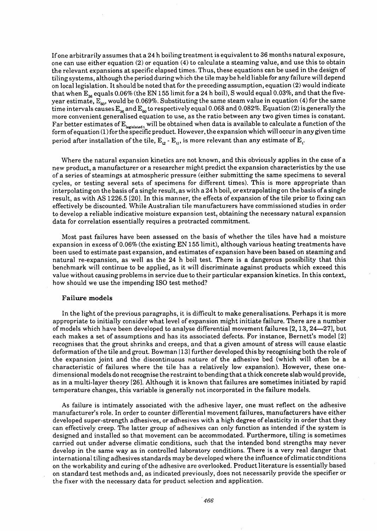Ifone arbitrarily assumes that a 24 h boiling treatment is equivalent to 36 months natural exposure, one can use either equation (2) or equation (4) to calculate a steaming value, and use this to obtain the relevant expansions at specific elapsed times. Thus, these equations can be used in the design of tiling systems, although the period during which the tile may be held liable for any failure will depend on local legislation. Itshould be noted that for the preceding assumption, equation (2) would indicate that when  $E_{36}$  equals 0.06% (the EN 155 limit for a 24 h boil), S would equal 0.03%, and that the fiveyear estimate,  $E_{60}$ , would be 0.069%. Substituting the same steam value in equation (4) for the same time intervals causes  $\text{E}_{\text{36}}$  and  $\text{E}_{\text{60}}$  to respectively equal 0.068 and 0.082%. Equation (2) is generally the more convenient generalised equation to use, as the ratio between any two given times is constant. Far better estimates of  $\mathrm{E_{local}}$  will be obtained when data is available to calculate a function of the form ofequation (1)for the specific product. However, the expansion which will occurin any given time period after installation of the tile,  $\text{E}_{\omega}$  -  $\text{E}_{\text{u}},$  is more relevant than any estimate of  $\text{E}_{\text{t}}$ 

Where the natural expansion kinetics are not known, and this obviously applies in the case of a new product, a manufacturer or a researcher might predict the expansion characteristics by the use of a series of steamings at atmospheric pressure (either submitting the same specimens to several cycles, or testing several sets of specimens for different times). This is more appropriate than in terpolating on the basis ofa single result, as with a 24 h boil, or extrapolating on the basis of a single result, as with AS 1226.5 [20]. In this manner, the effects of expansion of the tile prior to fixing can effectively be discounted. While Australian tile manufacturers have commissioned studies in order to develop a reliable indicative moisture expansion test, obtaining the necessary natural expansion data for correlation essentially requires a protracted commitment.

Most past failures have been assessed on the basis of whether the tiles have had a moisture expansion in excess of 0.06% (the existing EN 155 limit), although various heating treatments have been used to estimate past expansion, and estimates of expansion have been based on steaming and natural re-expansion, as well as the 24 h boil test. There is a dangerous possibility that this benchmark will continue to be applied, as it will discriminate against products which exceed this value without causing problems in service due to their particular expansion kinetics. In this context, how should we use the impending ISO test method?

#### Failure models

In the light of the previous paragraphs, it is difficult to make generalisations. Perhaps it is more appropriate to initially consider what level of expansion might initiate failure. There are a number of models which have been developed to analyse differential movement failures [2, 13,24-27], but each makes a set of assumptions and has its associated defects. For instance, Bernett's model [2] recognises that the grout shrinks and creeps, and that a given amount of stress will cause elastic deformation ofthe tile and grout. Bowman 113] further developed this by recognising both the role of the expansion joint and the discontinuous nature of the adhesive bed (which will often be a characteristic of failures where the tile has a relatively low expansion). However, these onedimensional models do notrecognise the restraint to bending that a thick concrete slab would provide, as in a multi-layer theory [26]. Although it is known that failures are sometimes initiated by rapid temperature changes, this variable is generally not incorporated in the failure models.

As failure is intimately associated with the adhesive layer, one must reflect on the adhesive manufacturer's role. In order to counter differential movement failures, manufacturers have either developed super-strength adhesives, or adhesives with a high degree of elasticity in order that they can effectively creep. The latter group of adhesives can only function as intended if the system is designed and installed so that movement can be accommodated. Furthermore, tiling is sometimes carried out under adverse climatic conditions, such that the intended bond strengths may never develop in the same way as in controlled laboratory conditions. There is a very real danger that international tiling adhesives standards may be developed where the influence of climatic conditions on the workability and curing of the adhesive are overlooked. Product literature is essentially based on standard test methods and, as indicated previously, does not necessarily provide the specifier or the fixer with the necessary data for product selection and application.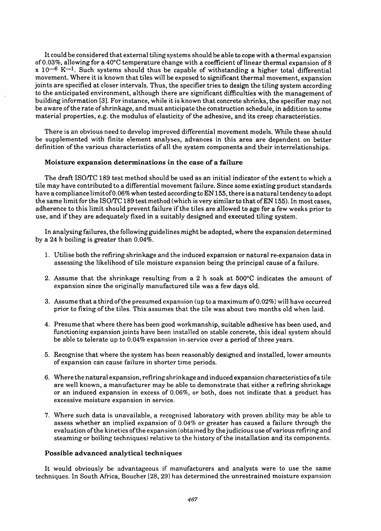It could be considered that external tiling systems should be able to cope with a thermal expansion of 0.03%, allowing for a 40°C temperature change with a coefficient of linear thermal expansion of 8  $x$  10<sup>-6</sup> K<sup>-1</sup>. Such systems should thus be capable of withstanding a higher total differential movement. Where it is known that tiles will be exposed to significant thermal movement, expansion joints are specified at closer intervals. Thus, the specifier tries to design the tiling system according to the anticipated environment, although there are significant difficulties with the management of building information [3]. For instance, while it is known that concrete shrinks, the specifier may not be aware of the rate of shrinkage, and must anticipate the construction schedule, in addition to some material properties, e.g, the modulus of elasticity of the adhesive, and its creep characteristics.

There is an obvious need to develop improved differential movement models. While these should be supplemented with finite element analyses, advances in this area are dependent on better definition of the various characteristics of all the system components and their interrelationships.

## Moisture expansion determinations in the case of a failure

The draft ISO/TC 189 test method should be used as an initial indicator of the extent to which a tile may have contributed to a differential movement failure. Since some existing product standards have a compliance limit of0.06% when tested according to EN 155, there is a natural tendency to adopt the same limit for the ISO/TC 189 test method (which is very similar to that of EN 155). In most cases, adherence to this limit should prevent failure if the tiles are allowed to age for a few weeks prior to use, and ifthey are adequately fixed in a suitably designed and executed tiling system.

In analysing failures, the following guidelines might be adopted, where the expansion determined by a 24 h boiling is greater than 0.04%.

- 1. Utilise both the refiring shrinkage and the induced expansion or natural re-expansion data in assessing the likelihood of tile moisture expansion being the principal cause of a failure.
- 2. Assume that the shrinkage resulting from a 2 h soak at 500°C indicates the amount of expansion since the originally manufactured tile was a few days old.
- 3. Assume that a third ofthe presumed expansion (up to a maximum of 0.02%) will have occurred prior to fixing of the tiles. This assumes that the tile was about two months old when laid.
- 4. Presume that where there has been good workmanship, suitable adhesive has been used, and functioning expansion joints have been installed on stable concrete, this ideal system should be able to tolerate up to 0.04% expansion in-service over a period of three years.
- 5. Recognise that where the system has been reasonably designed and installed, lower amounts of expansion can cause failure in shorter time periods.
- 6. Where the natural expansion, refiring shrinkage and induced expansion characteristics ofa tile are well known, a manufacturer may be able to demonstrate that either a refiring shrinkage or an induced expansion in excess of 0.06%, or both, does not indicate that a product has excessive moisture expansion in service.
- 7. Where such data is unavailable, a recognised laboratory with proven ability may be able to assess whether an implied expansion of 0.04% or greater has caused a failure through the evaluation ofthe kinetics ofthe expansion (obtained by the judicious use of various refiring and steaming or boiling techniques) relative to the history of the installation and its components.

#### Possible advanced analytical techniques

It would obviously be advantageous if manufacturers and analysts were to use the same techniques. In South Africa, Boucher [28, 29] has determined the unrestrained moisture expansion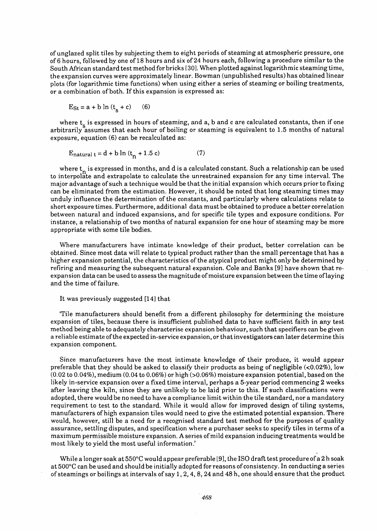of unglazed split tiles by subjecting them to eight periods of steaming at atmospheric pressure, one of 6 hours, followed by one of 18 hours and six of 24 hours each, following a procedure similar to the South African standard test method for bricks [30]. When plotted against logarithmic steaming time, the expansion curves were approximately linear. Bowman (unpublished results) has obtained linear plots (for logarithmic time functions) when using either a series of steaming or boiling treatments, or a combination of both. If this expansion is expressed as:

 $E_{St} = a + b \ln (t_s + c)$  (6)

where  $t_c$  is expressed in hours of steaming, and a, b and c are calculated constants, then if one arbitrarily assumes that each hour of boiling or steaming is equivalent to 1.5 months of natural exposure, equation (6) can be recalculated as:

$$
E_{\text{natural }t} = d + b \ln (t_n + 1.5 \text{ c}) \tag{7}
$$

where  $t_n$  is expressed in months, and d is a calculated constant. Such a relationship can be used to interpolate and extrapolate to calculate the unrestrained expansion for any time interval. The major advantage of such a technique would be that the initial expansion which occurs prior to fixing can be eliminated from the estimation. However, it should be noted that long steaming times may unduly influence the determination of the constants, and particularly where calculations relate to short exposure times. Furthermore, additional data must be obtained to produce a better correlation between natural and induced expansions, and for specific tile types and exposure conditions. For instance, a relationship of two months of natural expansion for one hour of steaming may be more appropriate with some tile bodies.

Where manufacturers have intimate knowledge of their product, better correlation can be obtained. Since most data will relate to typical product rather than the small percentage that has a higher expansion potential, the characteristics of the atypical product might only be determined by refiring and measuring the subsequent natural expansion. Cole and Banks [9] have shown that reexpansion data can be used to assess the magnitude of moisture expansion between the time of laying and the time of failure.

#### It was previously suggested [14] that

'Tile manufacturers should benefit from a different philosophy for determining the moisture expansion of tiles, because there is insufficient published data to have sufficient faith in any test method being able to adequately characterise expansion behaviour, such that specifiers can be given a reliable estimate ofthe expected in-service expansion, or thatinvestigators can later determine this expansion component.

Since manufacturers have the most intimate knowledge of their produce, it would appear preferable that they should be asked to classify their products as being of negligible  $\langle$  <0.02%), low (0.02 to 0.04%), medium (0.04 to 0.06%) or high (>0.06%) moisture expansion potential, based on the likely in-service expansion over a fixed time interval, perhaps a 5-year period commencing 2 weeks after leaving the kiln, since they are unlikely to be laid prior to this. If such classifications were adopted, there would be no need to have a compliance limit within the tile standard, nor a mandatory requirement to test to the standard. While it would allow for improved design of tiling systems, manufacturers of high expansion tiles would need to give the estimated potential expansion. There would, however, still be a need for a recognised standard test method for the purposes of quality assurance, settling disputes, and specification where a purchaser seeks to specify tiles in terms of a maximum permissible moisture expansion. A series ofmild expansion inducing treatments would be most likely to yield the most useful information.'

While a longer soak at 550°C would appear preferable [9], the ISO draft test procedure of a 2 h soak at 500°C can be used and should be initially adopted for reasons of consistency. In conducting a series of steamings or boilings at intervals of say 1,2,4,8,24 and 48 h, one should ensure that the product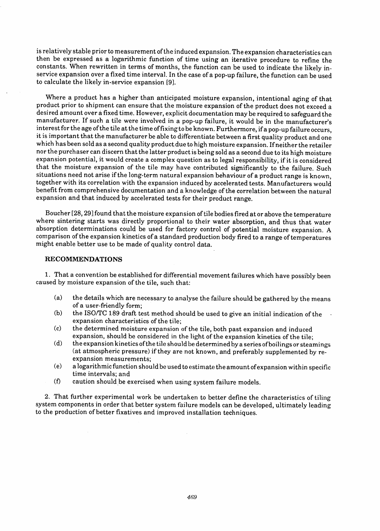is relatively stable prior to measurement of the induced expansion. The expansion characteristics can then be expressed as a logarithmic function of time using an iterative procedure to refine the constants. When rewritten in terms of months, the function can be used to indicate the likely inservice expansion over a fixed time interval. In the case of a pop-up failure, the function can be used to calculate the likely in-service expansion [9].

Where a product has a higher than anticipated moisture expansion, intentional aging of that product prior to shipment can ensure that the moisture expansion of the product does not exceed a desired amount over afixed time. However, explicit documentation may be required to safeguard the manufacturer. If such a tile were involved in a pop-up failure, it would be in the manufacturer's interest for the age of the tile at the time of fixing to be known. Furthermore, if a pop-up failure occurs, it is important that the manufacturer be able to differentiate between a first quality product and one which has been sold as a second quality product due to high moisture expansion. If neither the retailer nor the purchaser can discern that the latter product is being sold as a second due to its high moisture expansion potential, it would create a complex question as to legal responsibility, if it is considered that the moisture expansion of the tile may have contributed significantly to the failure. Such situations need not arise if the long-term natural expansion behaviour of a product range is known, together with its correlation with the expansion induced by accelerated tests. Manufacturers would benefit from comprehensive documentation and a knowledge of the correlation between the natural expansion and that induced by accelerated tests for their product range.

Boucher [28, 291found that the moisture expansion of tile bodiesfired at or above the temperature where sintering starts was directly proportional to their water absorption, and thus that water absorption determinations could be used for factory control of potential moisture expansion. A comparison ofthe expansion kinetics ofa standard production body fired to a range of temperatures might enable better use to be made of quality control data.

## RECOMMENDATIONS

 $\bar{\beta}$ 

1. That a convention be established for differential movement failures which have possibly been caused by moisture expansion of the tile, such that:

- (a) the details which are necessary to analyse the failure should be gathered by the means of a user-friendly form;
- (b) the ISO/TC 189 draft test method should be used to give an initial indication of the expansion characteristics of the tile;
- (c) the determined moisture expansion of the tile, both past expansion and induced expansion, should be considered in the light of the expansion kinetics of the tile;
- (d) the expansion kinetics ofthe tile should be determined by a series ofboilings or steamings (at atmospheric pressure) if they are not known, and preferably supplemented by reexpansion measurements;
- (e) a logarithmic function should be used to estimate the amount ofexpansion within specific time intervals; and
- (f) caution should be exercised when using system failure models.

2. That further experimental work be undertaken to better define the characteristics of tiling system components in order that better system failure models can be developed, ultimately leading to the production of better fixatives and improved installation techniques.

 $\mathcal{A}$